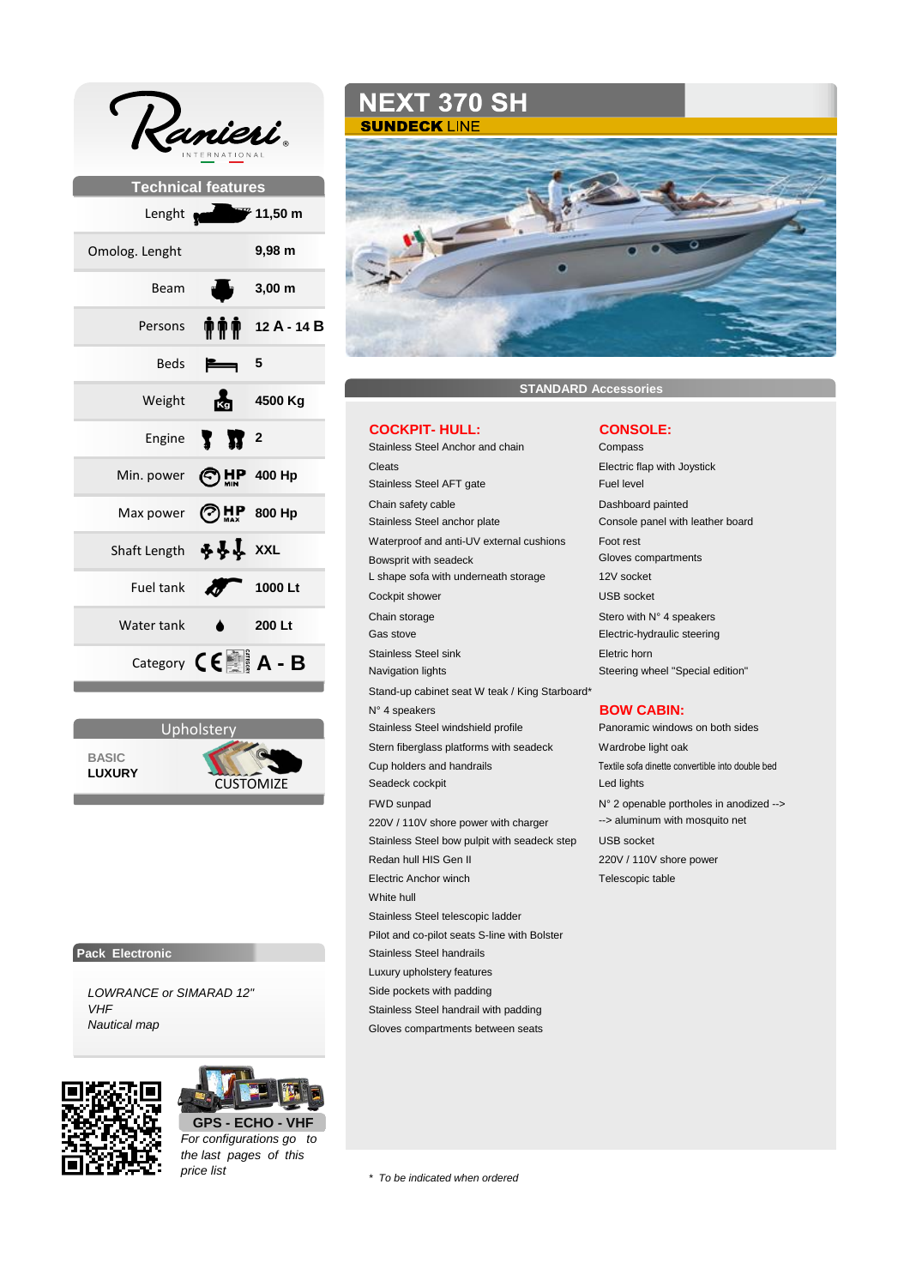| $\mathcal{L}_{\text{a}}$<br>TIONAL |                       |                                                    |
|------------------------------------|-----------------------|----------------------------------------------------|
| <b>Technical features</b>          |                       |                                                    |
| Lenght <b>Red</b>                  |                       | $\rightarrow$ 11,50 m                              |
| Omolog. Lenght                     |                       | 9,98 m                                             |
| Beam                               | ul y                  | $3,00 \text{ m}$                                   |
| Persons                            |                       | $\frac{1}{2}$ $\frac{1}{2}$ $\frac{1}{2}$ A - 14 B |
| Beds                               |                       | - 5                                                |
| Weight                             |                       | 4500 Kg                                            |
| Engine                             | <b>T</b> <sup>2</sup> |                                                    |
| Min. power                         | ©⊯                    | $P$ 400 Hp                                         |
| Max power                          |                       | $\bigodot_{\text{max}}$ 800 Hp                     |
| Shaft Length                       | <u> ቅቅ</u> አxг        |                                                    |
| Fuel tank                          |                       | 1000 Lt                                            |
| Water tank                         |                       | 200 Lt                                             |
|                                    |                       | Category $\mathsf{C}\mathsf{E}$ A - B              |



# **Pack Electronic**

*LOWRANCE or SIMARAD 12" VHF Nautical map*





*For configurations go to the last pages of this price list*

**NEXT 370 SH SUNDECK LINE** 



# **STANDARD Accessories**

### **COCKPIT- HULL: CONSOLE:**

Stainless Steel Anchor and chain Compass Cleats Electric flap with Joystick Stainless Steel AFT gate Fuel level Chain safety cable **Dashboard painted** Stainless Steel anchor plate Console panel with leather board Waterproof and anti-UV external cushions Foot rest Bowsprit with seadeck Gloves compartments L shape sofa with underneath storage 12V socket Cockpit shower USB socket Chain storage Stero with N° 4 speakers Gas stove **Electric-hydraulic steering Stainless Steel sink Eletric horn** Navigation lights Navigation lights Steering wheel "Special edition" Stand-up cabinet seat W teak / King Starboard\* N° 4 speakers **BOW CABIN:** Stainless Steel windshield profile Panoramic windows on both sides Stern fiberglass platforms with seadeck Wardrobe light oak Cup holders and handrails Textile sofa dinette convertible into double bed Seadeck cockpit **Led lights** FWD sunpad N° 2 openable portholes in anodized --> 220V / 110V shore power with charger --> aluminum with mosquito net Stainless Steel bow pulpit with seadeck step USB socket Redan hull HIS Gen II 220V / 110V shore power Electric Anchor winch Telescopic table White hull Stainless Steel telescopic ladder Pilot and co-pilot seats S-line with Bolster Stainless Steel handrails Luxury upholstery features Side pockets with padding Stainless Steel handrail with padding Gloves compartments between seats

*\* To be indicated when ordered*